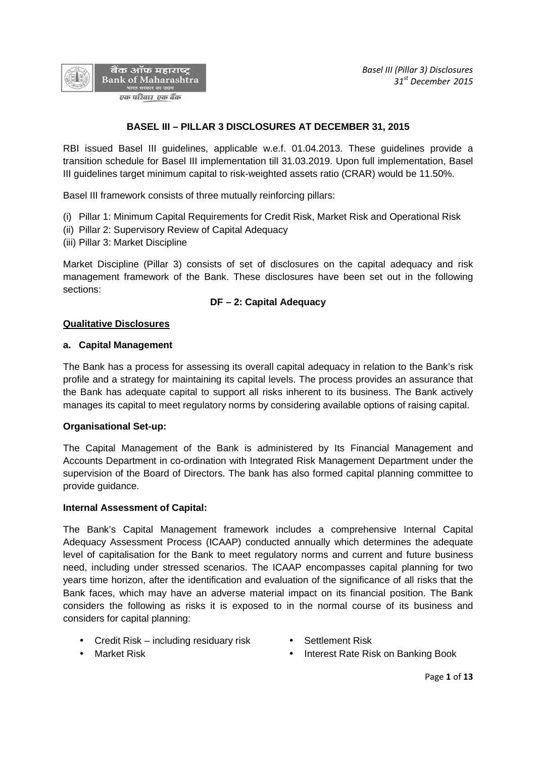

# **BASEL III – PILLAR 3 DISCLOSURES AT DECEMBER 31, 2015**

RBI issued Basel III guidelines, applicable w.e.f. 01.04.2013. These guidelines provide a transition schedule for Basel III implementation till 31.03.2019. Upon full implementation, Basel III guidelines target minimum capital to risk-weighted assets ratio (CRAR) would be 11.50%.

Basel III framework consists of three mutually reinforcing pillars:

- (i) Pillar 1: Minimum Capital Requirements for Credit Risk, Market Risk and Operational Risk
- (ii) Pillar 2: Supervisory Review of Capital Adequacy
- (iii) Pillar 3: Market Discipline

Market Discipline (Pillar 3) consists of set of disclosures on the capital adequacy and risk management framework of the Bank. These disclosures have been set out in the following sections:

## **DF – 2: Capital Adequacy**

### **Qualitative Disclosures**

### **a. Capital Management**

The Bank has a process for assessing its overall capital adequacy in relation to the Bank's risk profile and a strategy for maintaining its capital levels. The process provides an assurance that the Bank has adequate capital to support all risks inherent to its business. The Bank actively manages its capital to meet regulatory norms by considering available options of raising capital.

## **Organisational Set-up:**

The Capital Management of the Bank is administered by Its Financial Management and Accounts Department in co-ordination with Integrated Risk Management Department under the supervision of the Board of Directors. The bank has also formed capital planning committee to provide guidance.

#### **Internal Assessment of Capital:**

The Bank's Capital Management framework includes a comprehensive Internal Capital Adequacy Assessment Process (ICAAP) conducted annually which determines the adequate level of capitalisation for the Bank to meet regulatory norms and current and future business need, including under stressed scenarios. The ICAAP encompasses capital planning for two years time horizon, after the identification and evaluation of the significance of all risks that the Bank faces, which may have an adverse material impact on its financial position. The Bank considers the following as risks it is exposed to in the normal course of its business and considers for capital planning:

- Credit Risk including residuary risk Settlement Risk
- 
- 
- Market Risk **Interest Rate Risk on Banking Book**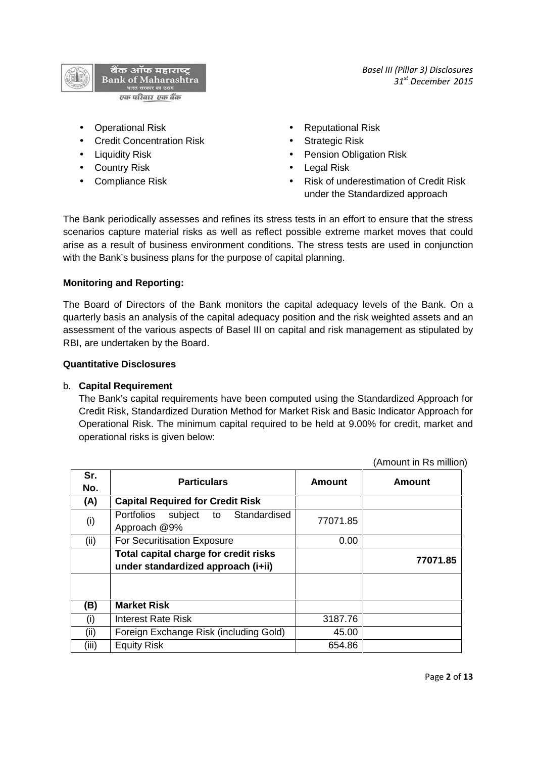

- Operational Risk **Constanting Constanting Constanting Constanting Constanting Constanting Constanting Constanting Constanting Constanting Constanting Constanting Constanting Constanting Constanting Constanting Constantin**
- Credit Concentration Risk Strategic Risk
- 
- Country Risk **Countries In the Country Risk Countries In the Countries Countries Countries Countries Countries Countries Countries Countries Countries Countries Countries Countries Countries Countries Countries Countri**
- 
- 
- 
- Liquidity Risk Pension Obligation Risk
	-
- Compliance Risk **Compliance Risk Compliance Risk of University** Property Risk of underestimation of Credit Risk under the Standardized approach

*Basel III (Pillar 3) Disclosures*

*31st December 2015*

The Bank periodically assesses and refines its stress tests in an effort to ensure that the stress scenarios capture material risks as well as reflect possible extreme market moves that could arise as a result of business environment conditions. The stress tests are used in conjunction with the Bank's business plans for the purpose of capital planning.

## **Monitoring and Reporting:**

The Board of Directors of the Bank monitors the capital adequacy levels of the Bank. On a quarterly basis an analysis of the capital adequacy position and the risk weighted assets and an assessment of the various aspects of Basel III on capital and risk management as stipulated by RBI, are undertaken by the Board.

### **Quantitative Disclosures**

## b. **Capital Requirement**

The Bank's capital requirements have been computed using the Standardized Approach for Credit Risk, Standardized Duration Method for Market Risk and Basic Indicator Approach for Operational Risk. The minimum capital required to be held at 9.00% for credit, market and operational risks is given below:

(Amount in Rs million)

| Sr.<br>No. | <b>Particulars</b>                                                          | <b>Amount</b> | <b>Amount</b> |
|------------|-----------------------------------------------------------------------------|---------------|---------------|
| (A)        | <b>Capital Required for Credit Risk</b>                                     |               |               |
| (i)        | to Standardised<br>Portfolios subject<br>Approach @9%                       | 77071.85      |               |
| (ii)       | For Securitisation Exposure                                                 | 0.00          |               |
|            | Total capital charge for credit risks<br>under standardized approach (i+ii) |               | 77071.85      |
|            |                                                                             |               |               |
| (B)        | <b>Market Risk</b>                                                          |               |               |
| (i)        | Interest Rate Risk                                                          | 3187.76       |               |
| (ii)       | Foreign Exchange Risk (including Gold)                                      | 45.00         |               |
| (iii)      | <b>Equity Risk</b>                                                          | 654.86        |               |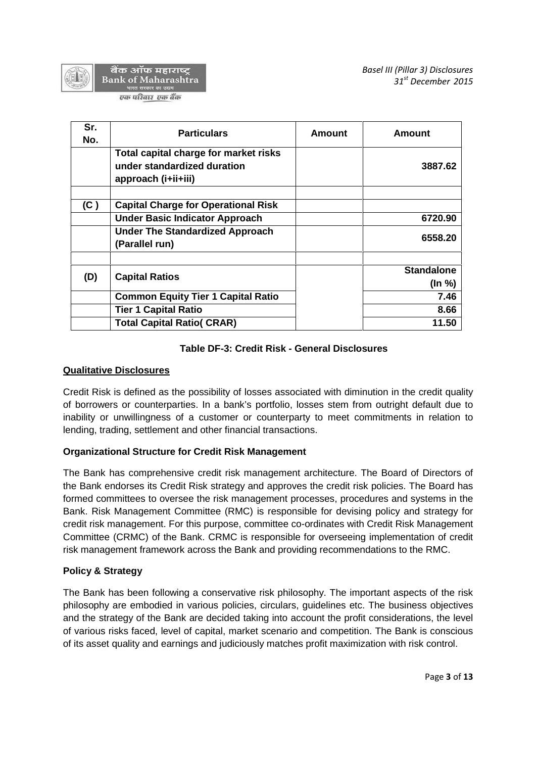

बैंक ऑफ महाराष्ट् Bank of Maharashtra ारत सरकार का उद्यम

एक परिवार एक बैंक

| Sr.<br>No. | <b>Particulars</b>                                                                          | Amount | Amount                            |
|------------|---------------------------------------------------------------------------------------------|--------|-----------------------------------|
|            | Total capital charge for market risks<br>under standardized duration<br>approach (i+ii+iii) |        | 3887.62                           |
| (C)        | <b>Capital Charge for Operational Risk</b>                                                  |        |                                   |
|            | <b>Under Basic Indicator Approach</b>                                                       |        | 6720.90                           |
|            | <b>Under The Standardized Approach</b><br>(Parallel run)                                    |        | 6558.20                           |
| (D)        | <b>Capital Ratios</b>                                                                       |        | <b>Standalone</b><br>$($ ln % $)$ |
|            | <b>Common Equity Tier 1 Capital Ratio</b>                                                   |        | 7.46                              |
|            | <b>Tier 1 Capital Ratio</b>                                                                 |        | 8.66                              |
|            | <b>Total Capital Ratio( CRAR)</b>                                                           |        | 11.50                             |

# **Table DF-3: Credit Risk - General Disclosures**

# **Qualitative Disclosures**

Credit Risk is defined as the possibility of losses associated with diminution in the credit quality of borrowers or counterparties. In a bank's portfolio, losses stem from outright default due to inability or unwillingness of a customer or counterparty to meet commitments in relation to lending, trading, settlement and other financial transactions.

## **Organizational Structure for Credit Risk Management**

The Bank has comprehensive credit risk management architecture. The Board of Directors of the Bank endorses its Credit Risk strategy and approves the credit risk policies. The Board has formed committees to oversee the risk management processes, procedures and systems in the Bank. Risk Management Committee (RMC) is responsible for devising policy and strategy for credit risk management. For this purpose, committee co-ordinates with Credit Risk Management Committee (CRMC) of the Bank. CRMC is responsible for overseeing implementation of credit risk management framework across the Bank and providing recommendations to the RMC.

## **Policy & Strategy**

The Bank has been following a conservative risk philosophy. The important aspects of the risk philosophy are embodied in various policies, circulars, guidelines etc. The business objectives and the strategy of the Bank are decided taking into account the profit considerations, the level of various risks faced, level of capital, market scenario and competition. The Bank is conscious of its asset quality and earnings and judiciously matches profit maximization with risk control.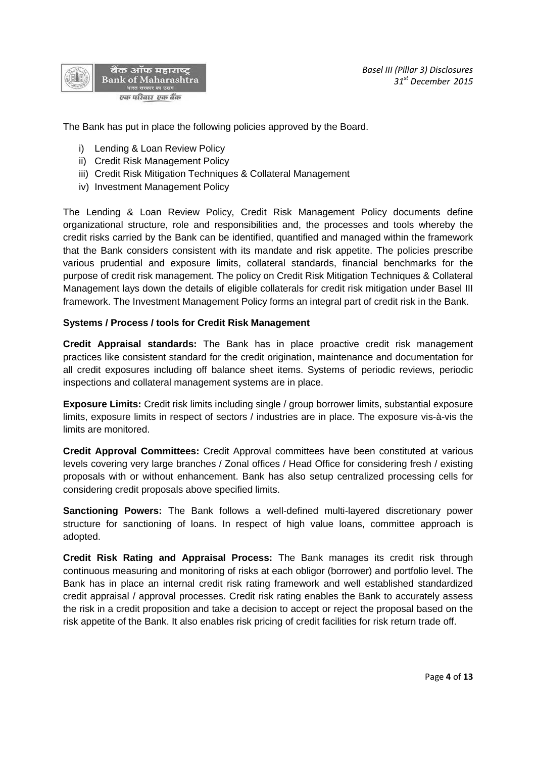



The Bank has put in place the following policies approved by the Board.

- i) Lending & Loan Review Policy
- ii) Credit Risk Management Policy
- iii) Credit Risk Mitigation Techniques & Collateral Management
- iv) Investment Management Policy

The Lending & Loan Review Policy, Credit Risk Management Policy documents define organizational structure, role and responsibilities and, the processes and tools whereby the credit risks carried by the Bank can be identified, quantified and managed within the framework that the Bank considers consistent with its mandate and risk appetite. The policies prescribe various prudential and exposure limits, collateral standards, financial benchmarks for the purpose of credit risk management. The policy on Credit Risk Mitigation Techniques & Collateral Management lays down the details of eligible collaterals for credit risk mitigation under Basel III framework. The Investment Management Policy forms an integral part of credit risk in the Bank.

#### **Systems / Process / tools for Credit Risk Management**

**Credit Appraisal standards:** The Bank has in place proactive credit risk management practices like consistent standard for the credit origination, maintenance and documentation for all credit exposures including off balance sheet items. Systems of periodic reviews, periodic inspections and collateral management systems are in place.

**Exposure Limits:** Credit risk limits including single / group borrower limits, substantial exposure limits, exposure limits in respect of sectors / industries are in place. The exposure vis-à-vis the limits are monitored.

**Credit Approval Committees:** Credit Approval committees have been constituted at various levels covering very large branches / Zonal offices / Head Office for considering fresh / existing proposals with or without enhancement. Bank has also setup centralized processing cells for considering credit proposals above specified limits.

**Sanctioning Powers:** The Bank follows a well-defined multi-layered discretionary power structure for sanctioning of loans. In respect of high value loans, committee approach is adopted.

**Credit Risk Rating and Appraisal Process:** The Bank manages its credit risk through continuous measuring and monitoring of risks at each obligor (borrower) and portfolio level. The Bank has in place an internal credit risk rating framework and well established standardized credit appraisal / approval processes. Credit risk rating enables the Bank to accurately assess the risk in a credit proposition and take a decision to accept or reject the proposal based on the risk appetite of the Bank. It also enables risk pricing of credit facilities for risk return trade off.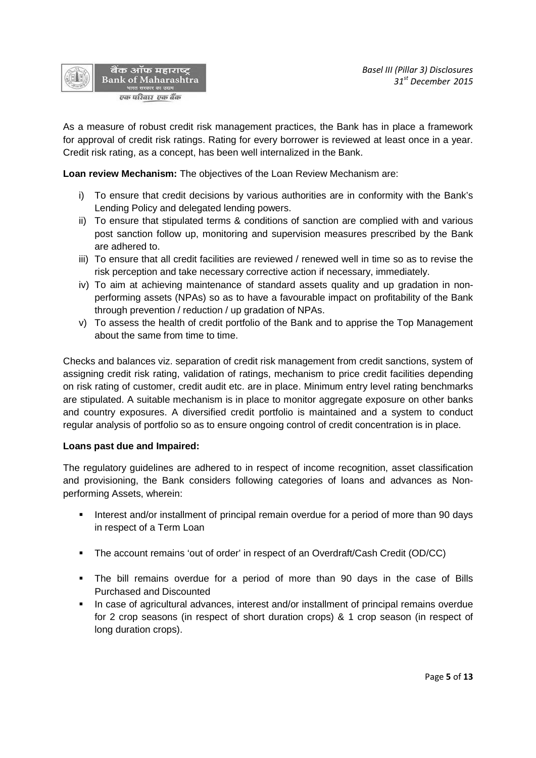

As a measure of robust credit risk management practices, the Bank has in place a framework for approval of credit risk ratings. Rating for every borrower is reviewed at least once in a year. Credit risk rating, as a concept, has been well internalized in the Bank.

**Loan review Mechanism:** The objectives of the Loan Review Mechanism are:

- i) To ensure that credit decisions by various authorities are in conformity with the Bank's Lending Policy and delegated lending powers.
- ii) To ensure that stipulated terms & conditions of sanction are complied with and various post sanction follow up, monitoring and supervision measures prescribed by the Bank are adhered to.
- iii) To ensure that all credit facilities are reviewed / renewed well in time so as to revise the risk perception and take necessary corrective action if necessary, immediately.
- iv) To aim at achieving maintenance of standard assets quality and up gradation in non performing assets (NPAs) so as to have a favourable impact on profitability of the Bank through prevention / reduction / up gradation of NPAs.
- v) To assess the health of credit portfolio of the Bank and to apprise the Top Management about the same from time to time.

Checks and balances viz. separation of credit risk management from credit sanctions, system of assigning credit risk rating, validation of ratings, mechanism to price credit facilities depending on risk rating of customer, credit audit etc. are in place. Minimum entry level rating benchmarks are stipulated. A suitable mechanism is in place to monitor aggregate exposure on other banks and country exposures. A diversified credit portfolio is maintained and a system to conduct regular analysis of portfolio so as to ensure ongoing control of credit concentration is in place.

## **Loans past due and Impaired:**

The regulatory guidelines are adhered to in respect of income recognition, asset classification and provisioning, the Bank considers following categories of loans and advances as Non performing Assets, wherein:

- **Interest and/or installment of principal remain overdue for a period of more than 90 days** in respect of a Term Loan
- The account remains 'out of order' in respect of an Overdraft/Cash Credit (OD/CC)
- The bill remains overdue for a period of more than 90 days in the case of Bills Purchased and Discounted
- In case of agricultural advances, interest and/or installment of principal remains overdue for 2 crop seasons (in respect of short duration crops) & 1 crop season (in respect of long duration crops).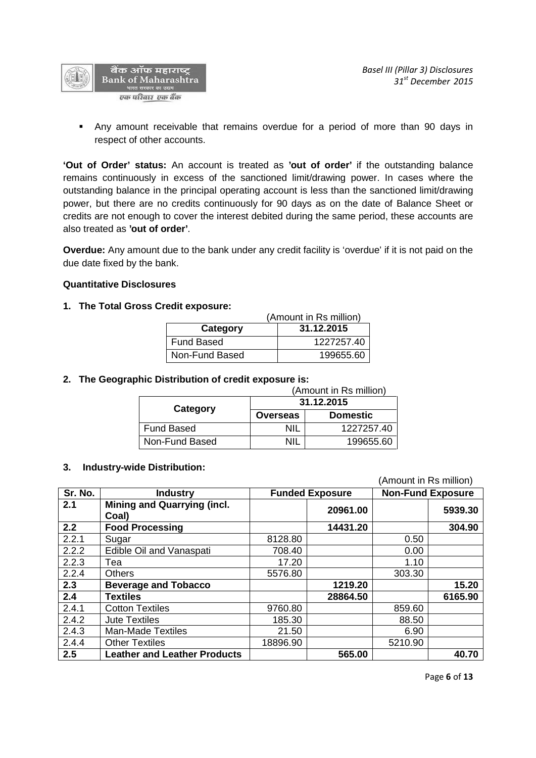

 Any amount receivable that remains overdue for a period of more than 90 days in respect of other accounts.

**'Out of Order' status:** An account is treated as **'out of order'** if the outstanding balance remains continuously in excess of the sanctioned limit/drawing power. In cases where the outstanding balance in the principal operating account is less than the sanctioned limit/drawing power, but there are no credits continuously for 90 days as on the date of Balance Sheet or credits are not enough to cover the interest debited during the same period, these accounts are also treated as **'out of order'**.

**Overdue:** Any amount due to the bank under any credit facility is 'overdue' if it is not paid on the due date fixed by the bank.

#### **Quantitative Disclosures**

#### **1. The Total Gross Credit exposure:**

|                        | (Amount in Rs million) |  |  |
|------------------------|------------------------|--|--|
| 31.12.2015<br>Category |                        |  |  |
| Fund Based             | 1227257.40             |  |  |
| Non-Fund Based         | 199655.60              |  |  |

#### **2. The Geographic Distribution of credit exposure is:**

| (Amount in Rs million) |                 |                 |  |  |
|------------------------|-----------------|-----------------|--|--|
|                        | 31.12.2015      |                 |  |  |
| Category               | <b>Overseas</b> | <b>Domestic</b> |  |  |
| Fund Based             | ΝIΙ             | 1227257.40      |  |  |
| Non-Fund Based         | ΝIΙ             | 199655.60       |  |  |

#### **3. Industry-wide Distribution:**

|         |                                             |          |                        | (Amount in Rs million) |                          |  |
|---------|---------------------------------------------|----------|------------------------|------------------------|--------------------------|--|
| Sr. No. | <b>Industry</b>                             |          | <b>Funded Exposure</b> |                        | <b>Non-Fund Exposure</b> |  |
| 2.1     | <b>Mining and Quarrying (incl.</b><br>Coal) |          | 20961.00               |                        | 5939.30                  |  |
| 2.2     | <b>Food Processing</b>                      |          | 14431.20               |                        | 304.90                   |  |
| 2.2.1   | Sugar                                       | 8128.80  |                        | 0.50                   |                          |  |
| 2.2.2   | Edible Oil and Vanaspati                    | 708.40   |                        | 0.00                   |                          |  |
| 2.2.3   | Tea                                         | 17.20    |                        | 1.10                   |                          |  |
| 2.2.4   | <b>Others</b>                               | 5576.80  |                        | 303.30                 |                          |  |
| 2.3     | <b>Beverage and Tobacco</b>                 |          | 1219.20                |                        | 15.20                    |  |
| 2.4     | <b>Textiles</b>                             |          | 28864.50               |                        | 6165.90                  |  |
| 2.4.1   | <b>Cotton Textiles</b>                      | 9760.80  |                        | 859.60                 |                          |  |
| 2.4.2   | <b>Jute Textiles</b>                        | 185.30   |                        | 88.50                  |                          |  |
| 2.4.3   | <b>Man-Made Textiles</b>                    | 21.50    |                        | 6.90                   |                          |  |
| 2.4.4   | <b>Other Textiles</b>                       | 18896.90 |                        | 5210.90                |                          |  |
| 2.5     | <b>Leather and Leather Products</b>         |          | 565.00                 |                        | 40.70                    |  |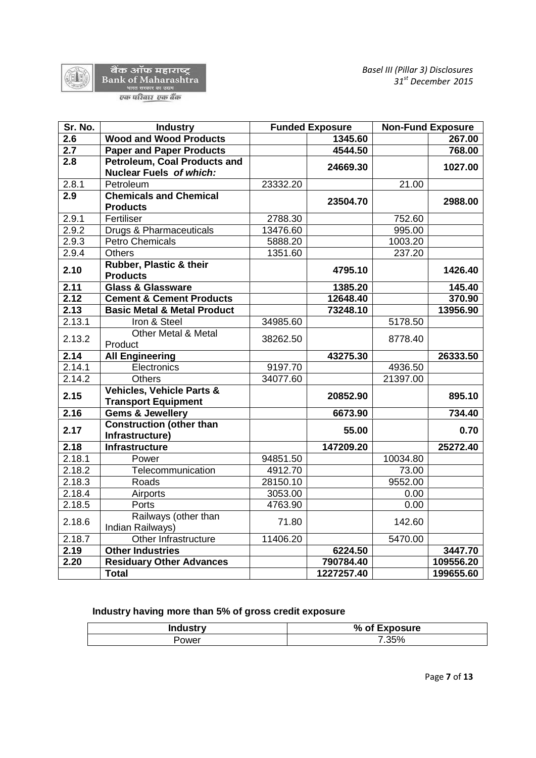

वैंक ऑफ महाराष्ट्र<br>Bank of Maharashtra<br>एक परिवार एक बैंक

| Sr. No.          | <b>Industry</b>                                                    |          | <b>Funded Exposure</b> |          | <b>Non-Fund Exposure</b> |
|------------------|--------------------------------------------------------------------|----------|------------------------|----------|--------------------------|
| $\overline{2.6}$ | <b>Wood and Wood Products</b>                                      |          | 1345.60                |          | 267.00                   |
| $\overline{2.7}$ | <b>Paper and Paper Products</b>                                    |          | 4544.50                |          | 768.00                   |
| 2.8              | <b>Petroleum, Coal Products and</b><br>Nuclear Fuels of which:     |          | 24669.30               |          | 1027.00                  |
| 2.8.1            | Petroleum                                                          | 23332.20 |                        | 21.00    |                          |
| 2.9              | <b>Chemicals and Chemical</b><br><b>Products</b>                   |          | 23504.70               |          | 2988.00                  |
| 2.9.1            | Fertiliser                                                         | 2788.30  |                        | 752.60   |                          |
| 2.9.2            | Drugs & Pharmaceuticals                                            | 13476.60 |                        | 995.00   |                          |
| 2.9.3            | <b>Petro Chemicals</b>                                             | 5888.20  |                        | 1003.20  |                          |
| 2.9.4            | <b>Others</b>                                                      | 1351.60  |                        | 237.20   |                          |
| 2.10             | Rubber, Plastic & their<br><b>Products</b>                         |          | 4795.10                |          | 1426.40                  |
| 2.11             | <b>Glass &amp; Glassware</b>                                       |          | 1385.20                |          | 145.40                   |
| 2.12             | <b>Cement &amp; Cement Products</b>                                |          | 12648.40               |          | 370.90                   |
| 2.13             | <b>Basic Metal &amp; Metal Product</b>                             |          | 73248.10               |          | 13956.90                 |
| 2.13.1           | Iron & Steel                                                       | 34985.60 |                        | 5178.50  |                          |
| 2.13.2           | Other Metal & Metal<br>Product                                     | 38262.50 |                        | 8778.40  |                          |
| 2.14             | <b>All Engineering</b>                                             |          | 43275.30               |          | 26333.50                 |
| 2.14.1           | Electronics                                                        | 9197.70  |                        | 4936.50  |                          |
| 2.14.2           | <b>Others</b>                                                      | 34077.60 |                        | 21397.00 |                          |
| 2.15             | <b>Vehicles, Vehicle Parts &amp;</b><br><b>Transport Equipment</b> |          | 20852.90               |          | 895.10                   |
| 2.16             | <b>Gems &amp; Jewellery</b>                                        |          | 6673.90                |          | 734.40                   |
| 2.17             | <b>Construction (other than</b><br>Infrastructure)                 |          | 55.00                  |          | 0.70                     |
| 2.18             | <b>Infrastructure</b>                                              |          | 147209.20              |          | 25272.40                 |
| 2.18.1           | Power                                                              | 94851.50 |                        | 10034.80 |                          |
| 2.18.2           | Telecommunication                                                  | 4912.70  |                        | 73.00    |                          |
| 2.18.3           | Roads                                                              | 28150.10 |                        | 9552.00  |                          |
| 2.18.4           | Airports                                                           | 3053.00  |                        | 0.00     |                          |
| 2.18.5           | Ports                                                              | 4763.90  |                        | 0.00     |                          |
| 2.18.6           | Railways (other than<br>Indian Railways)                           | 71.80    |                        | 142.60   |                          |
| 2.18.7           | Other Infrastructure                                               | 11406.20 |                        | 5470.00  |                          |
| 2.19             | <b>Other Industries</b>                                            |          | 6224.50                |          | 3447.70                  |
| 2.20             | <b>Residuary Other Advances</b>                                    |          | 790784.40              |          | 109556.20                |
|                  | <b>Total</b>                                                       |          | 1227257.40             |          | 199655.60                |

# **Industry having more than 5% of gross credit exposure**

| Industr∨ | % of Exposure |  |
|----------|---------------|--|
| Power    | 7.35%         |  |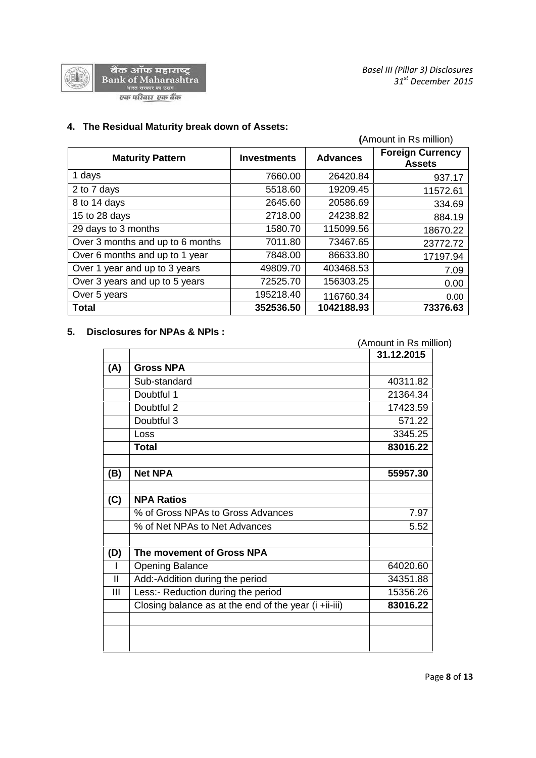

# **4. The Residual Maturity break down of Assets:**

|                                  |                    | (Amount in Rs million) |                                          |  |
|----------------------------------|--------------------|------------------------|------------------------------------------|--|
| <b>Maturity Pattern</b>          | <b>Investments</b> | <b>Advances</b>        | <b>Foreign Currency</b><br><b>Assets</b> |  |
| 1 days                           | 7660.00            | 26420.84               | 937.17                                   |  |
| 2 to 7 days                      | 5518.60            | 19209.45               | 11572.61                                 |  |
| 8 to 14 days                     | 2645.60            | 20586.69               | 334.69                                   |  |
| 15 to 28 days                    | 2718.00            | 24238.82               | 884.19                                   |  |
| 29 days to 3 months              | 1580.70            | 115099.56              | 18670.22                                 |  |
| Over 3 months and up to 6 months | 7011.80            | 73467.65               | 23772.72                                 |  |
| Over 6 months and up to 1 year   | 7848.00            | 86633.80               | 17197.94                                 |  |
| Over 1 year and up to 3 years    | 49809.70           | 403468.53              | 7.09                                     |  |
| Over 3 years and up to 5 years   | 72525.70           | 156303.25              | 0.00                                     |  |
| Over 5 years                     | 195218.40          | 116760.34              | 0.00                                     |  |
| <b>Total</b>                     | 352536.50          | 1042188.93             | 73376.63                                 |  |

# **5. Disclosures for NPAs & NPIs :**

|     |                                                       | 31.12.2015 |
|-----|-------------------------------------------------------|------------|
| (A) | <b>Gross NPA</b>                                      |            |
|     | Sub-standard                                          | 40311.82   |
|     | Doubtful 1                                            | 21364.34   |
|     | Doubtful 2                                            | 17423.59   |
|     | Doubtful 3                                            | 571.22     |
|     | Loss                                                  | 3345.25    |
|     | <b>Total</b>                                          | 83016.22   |
|     |                                                       |            |
| (B) | <b>Net NPA</b>                                        | 55957.30   |
| (C) | <b>NPA Ratios</b>                                     |            |
|     | % of Gross NPAs to Gross Advances                     | 7.97       |
|     | % of Net NPAs to Net Advances                         | 5.52       |
| (D) | The movement of Gross NPA                             |            |
|     | <b>Opening Balance</b>                                | 64020.60   |
| Ш   | Add:-Addition during the period                       | 34351.88   |
| Ш   | Less:- Reduction during the period                    | 15356.26   |
|     | Closing balance as at the end of the year (i +ii-iii) | 83016.22   |
|     |                                                       |            |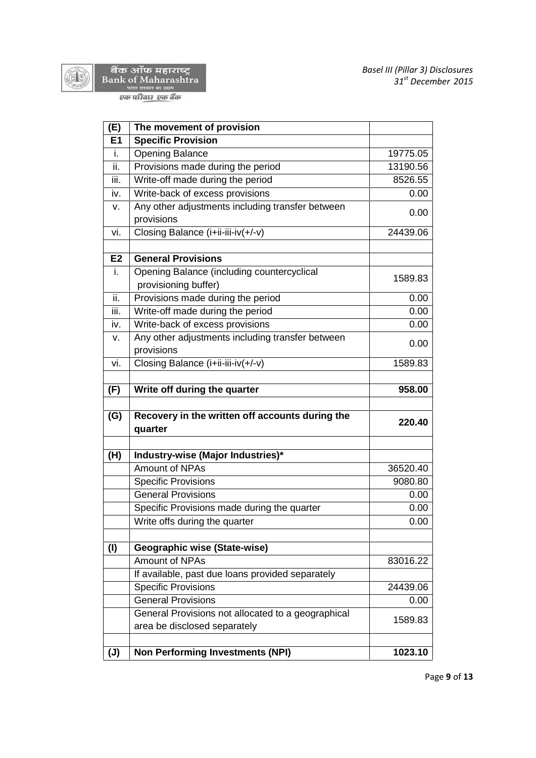



वैंक ऑफ महाराष्ट्र<br>Bank of Maharashtra<br>एक परिवार एक बैंक

| (E)            | The movement of provision                                          |          |
|----------------|--------------------------------------------------------------------|----------|
| E1             | <b>Specific Provision</b>                                          |          |
| i.             | <b>Opening Balance</b>                                             | 19775.05 |
| ii.            | Provisions made during the period                                  | 13190.56 |
| iii.           | Write-off made during the period                                   | 8526.55  |
| iv.            | Write-back of excess provisions                                    | 0.00     |
| v.             | Any other adjustments including transfer between<br>provisions     | 0.00     |
| vi.            | Closing Balance (i+ii-iii-iv(+/-v)                                 | 24439.06 |
| E2             | <b>General Provisions</b>                                          |          |
| i.             | Opening Balance (including countercyclical<br>provisioning buffer) | 1589.83  |
| ii.            | Provisions made during the period                                  | 0.00     |
| iii.           | Write-off made during the period                                   | 0.00     |
| iv.            | Write-back of excess provisions                                    | 0.00     |
| v.             | Any other adjustments including transfer between<br>provisions     | 0.00     |
| vi.            | Closing Balance (i+ii-iii-iv(+/-v)                                 | 1589.83  |
|                |                                                                    |          |
| (F)            | Write off during the quarter                                       | 958.00   |
| (G)            | Recovery in the written off accounts during the<br>quarter         | 220.40   |
| (H)            | Industry-wise (Major Industries)*                                  |          |
|                | Amount of NPAs                                                     | 36520.40 |
|                | <b>Specific Provisions</b>                                         | 9080.80  |
|                | <b>General Provisions</b>                                          | 0.00     |
|                | Specific Provisions made during the quarter                        | 0.00     |
|                | Write offs during the quarter                                      | 0.00     |
| (1)            | Geographic wise (State-wise)                                       |          |
|                | Amount of NPAs                                                     | 83016.22 |
|                | If available, past due loans provided separately                   |          |
|                | <b>Specific Provisions</b>                                         | 24439.06 |
|                | <b>General Provisions</b>                                          | 0.00     |
|                | General Provisions not allocated to a geographical                 |          |
|                | area be disclosed separately                                       | 1589.83  |
| $(\mathsf{J})$ | <b>Non Performing Investments (NPI)</b>                            | 1023.10  |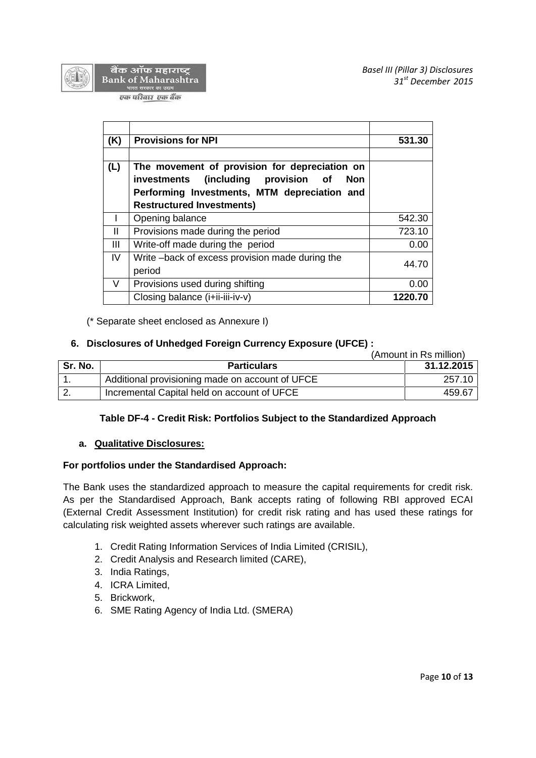



बैंक ऑफ महाराष्ट्र **Bank of Maharashtra** गरत सरकार का <mark>उद्यम</mark>

एक परिवार एक बैंक

| (K)    | <b>Provisions for NPI</b>                                                                                                                          | 531.30  |
|--------|----------------------------------------------------------------------------------------------------------------------------------------------------|---------|
| (L)    | The movement of provision for depreciation on<br>investments (including provision of<br><b>Non</b><br>Performing Investments, MTM depreciation and |         |
|        | <b>Restructured Investments)</b>                                                                                                                   |         |
|        | Opening balance                                                                                                                                    | 542.30  |
| Ш      | Provisions made during the period                                                                                                                  | 723.10  |
| Ш      | Write-off made during the period                                                                                                                   | 0.00    |
| IV     | Write-back of excess provision made during the<br>period                                                                                           | 44.70   |
| $\vee$ | Provisions used during shifting                                                                                                                    | 0.00    |
|        | Closing balance (i+ii-iii-iv-v)                                                                                                                    | 1220.70 |

(\* Separate sheet enclosed as Annexure I)

# **6. Disclosures of Unhedged Foreign Currency Exposure (UFCE) :**

(Amount in Rs million)

| Sr. No.   | <b>Particulars</b>                              | 31.12.2015 |
|-----------|-------------------------------------------------|------------|
|           | Additional provisioning made on account of UFCE | 257.10     |
| <u>L.</u> | Incremental Capital held on account of UFCE     | 459.67     |

## **Table DF-4 - Credit Risk: Portfolios Subject to the Standardized Approach**

## **a. Qualitative Disclosures:**

## **For portfolios under the Standardised Approach:**

The Bank uses the standardized approach to measure the capital requirements for credit risk. As per the Standardised Approach, Bank accepts rating of following RBI approved ECAI (External Credit Assessment Institution) for credit risk rating and has used these ratings for calculating risk weighted assets wherever such ratings are available.

- 1. Credit Rating Information Services of India Limited (CRISIL),
- 2. Credit Analysis and Research limited (CARE),
- 3. India Ratings,
- 4. ICRA Limited,
- 5. Brickwork,
- 6. SME Rating Agency of India Ltd. (SMERA)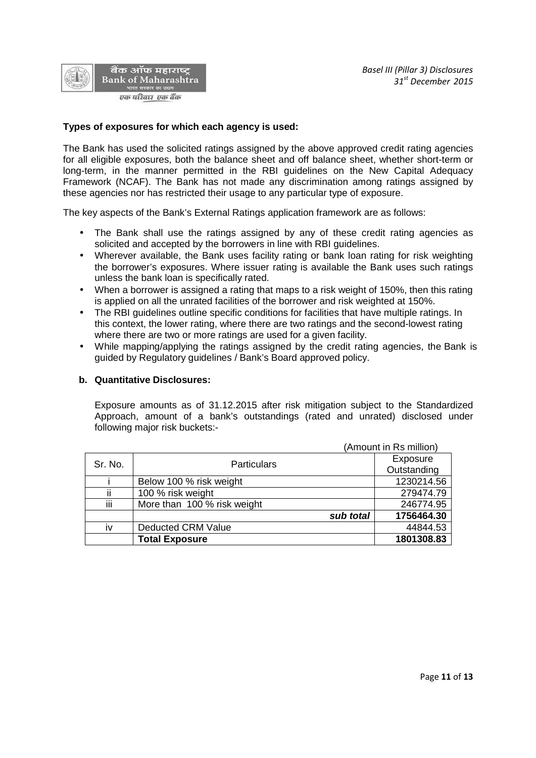

### **Types of exposures for which each agency is used:**

The Bank has used the solicited ratings assigned by the above approved credit rating agencies for all eligible exposures, both the balance sheet and off balance sheet, whether short-term or long-term, in the manner permitted in the RBI guidelines on the New Capital Adequacy Framework (NCAF). The Bank has not made any discrimination among ratings assigned by these agencies nor has restricted their usage to any particular type of exposure.

The key aspects of the Bank's External Ratings application framework are as follows:

- The Bank shall use the ratings assigned by any of these credit rating agencies as solicited and accepted by the borrowers in line with RBI guidelines.
- Wherever available, the Bank uses facility rating or bank loan rating for risk weighting the borrower's exposures. Where issuer rating is available the Bank uses such ratings unless the bank loan is specifically rated.
- When a borrower is assigned a rating that maps to a risk weight of 150%, then this rating is applied on all the unrated facilities of the borrower and risk weighted at 150%.
- The RBI guidelines outline specific conditions for facilities that have multiple ratings. In this context, the lower rating, where there are two ratings and the second-lowest rating where there are two or more ratings are used for a given facility.
- While mapping/applying the ratings assigned by the credit rating agencies, the Bank is guided by Regulatory guidelines / Bank's Board approved policy.

#### **b. Quantitative Disclosures:**

Exposure amounts as of 31.12.2015 after risk mitigation subject to the Standardized Approach, amount of a bank's outstandings (rated and unrated) disclosed under following major risk buckets:-

|         |                             | (Amount in Rs million) |  |  |
|---------|-----------------------------|------------------------|--|--|
| Sr. No. | <b>Particulars</b>          | Exposure               |  |  |
|         |                             | Outstanding            |  |  |
|         | Below 100 % risk weight     | 1230214.56             |  |  |
| ii      | 100 % risk weight           | 279474.79              |  |  |
| iij     | More than 100 % risk weight | 246774.95              |  |  |
|         | sub total                   | 1756464.30             |  |  |
| iv      | <b>Deducted CRM Value</b>   | 44844.53               |  |  |
|         | <b>Total Exposure</b>       | 1801308.83             |  |  |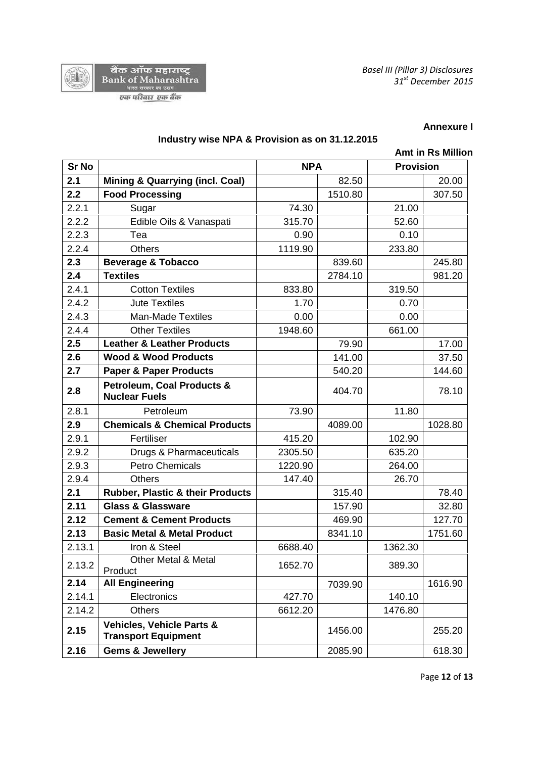



### **Annexure I**

## **Industry wise NPA & Provision as on 31.12.2015**

|              | <b>Amt in Rs Million</b>                                           |         |            |         |                  |  |
|--------------|--------------------------------------------------------------------|---------|------------|---------|------------------|--|
| <b>Sr No</b> |                                                                    |         | <b>NPA</b> |         | <b>Provision</b> |  |
| 2.1          | <b>Mining &amp; Quarrying (incl. Coal)</b>                         |         | 82.50      |         | 20.00            |  |
| 2.2          | <b>Food Processing</b>                                             |         | 1510.80    |         | 307.50           |  |
| 2.2.1        | Sugar                                                              | 74.30   |            | 21.00   |                  |  |
| 2.2.2        | Edible Oils & Vanaspati                                            | 315.70  |            | 52.60   |                  |  |
| 2.2.3        | Tea                                                                | 0.90    |            | 0.10    |                  |  |
| 2.2.4        | <b>Others</b>                                                      | 1119.90 |            | 233.80  |                  |  |
| 2.3          | <b>Beverage &amp; Tobacco</b>                                      |         | 839.60     |         | 245.80           |  |
| 2.4          | <b>Textiles</b>                                                    |         | 2784.10    |         | 981.20           |  |
| 2.4.1        | <b>Cotton Textiles</b>                                             | 833.80  |            | 319.50  |                  |  |
| 2.4.2        | <b>Jute Textiles</b>                                               | 1.70    |            | 0.70    |                  |  |
| 2.4.3        | <b>Man-Made Textiles</b>                                           | 0.00    |            | 0.00    |                  |  |
| 2.4.4        | <b>Other Textiles</b>                                              | 1948.60 |            | 661.00  |                  |  |
| 2.5          | <b>Leather &amp; Leather Products</b>                              |         | 79.90      |         | 17.00            |  |
| 2.6          | <b>Wood &amp; Wood Products</b>                                    |         | 141.00     |         | 37.50            |  |
| 2.7          | <b>Paper &amp; Paper Products</b>                                  |         | 540.20     |         | 144.60           |  |
| 2.8          | <b>Petroleum, Coal Products &amp;</b><br><b>Nuclear Fuels</b>      |         | 404.70     |         | 78.10            |  |
| 2.8.1        | Petroleum                                                          | 73.90   |            | 11.80   |                  |  |
| 2.9          | <b>Chemicals &amp; Chemical Products</b>                           |         | 4089.00    |         | 1028.80          |  |
| 2.9.1        | Fertiliser                                                         | 415.20  |            | 102.90  |                  |  |
| 2.9.2        | Drugs & Pharmaceuticals                                            | 2305.50 |            | 635.20  |                  |  |
| 2.9.3        | <b>Petro Chemicals</b>                                             | 1220.90 |            | 264.00  |                  |  |
| 2.9.4        | <b>Others</b>                                                      | 147.40  |            | 26.70   |                  |  |
| 2.1          | <b>Rubber, Plastic &amp; their Products</b>                        |         | 315.40     |         | 78.40            |  |
| 2.11         | <b>Glass &amp; Glassware</b>                                       |         | 157.90     |         | 32.80            |  |
| 2.12         | <b>Cement &amp; Cement Products</b>                                |         | 469.90     |         | 127.70           |  |
| 2.13         | <b>Basic Metal &amp; Metal Product</b>                             |         | 8341.10    |         | 1751.60          |  |
| 2.13.1       | Iron & Steel                                                       | 6688.40 |            | 1362.30 |                  |  |
| 2.13.2       | Other Metal & Metal<br>Product                                     | 1652.70 |            | 389.30  |                  |  |
| 2.14         | <b>All Engineering</b>                                             |         | 7039.90    |         | 1616.90          |  |
| 2.14.1       | Electronics                                                        | 427.70  |            | 140.10  |                  |  |
| 2.14.2       | <b>Others</b>                                                      | 6612.20 |            | 1476.80 |                  |  |
| 2.15         | <b>Vehicles, Vehicle Parts &amp;</b><br><b>Transport Equipment</b> |         | 1456.00    |         | 255.20           |  |
| 2.16         | <b>Gems &amp; Jewellery</b>                                        |         | 2085.90    |         | 618.30           |  |

Page **12** of **13**